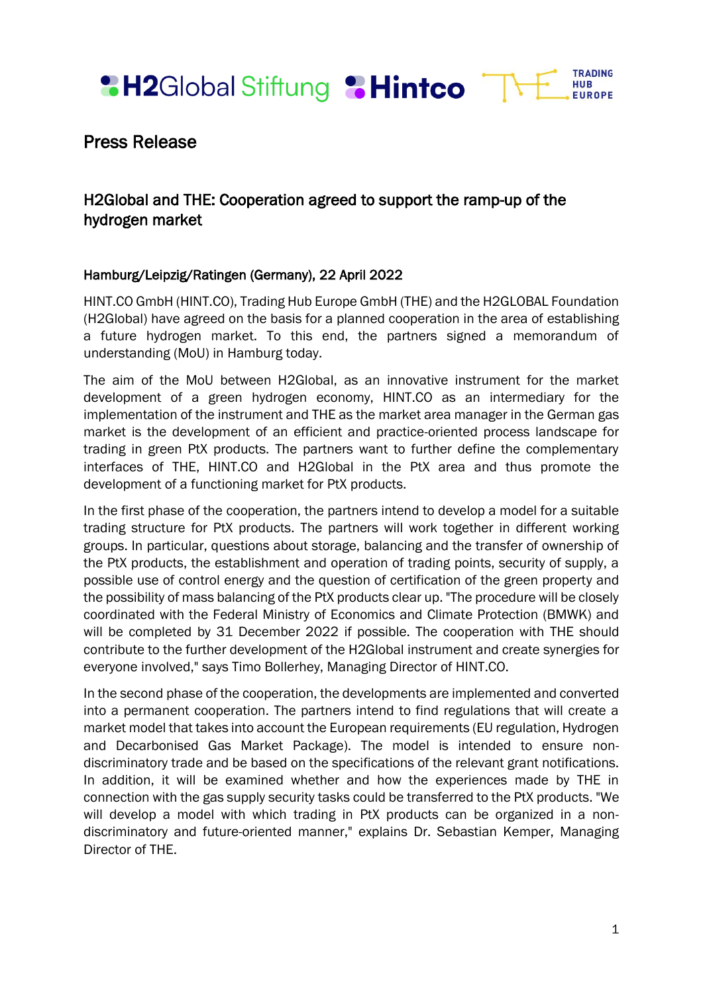**&H2Global Stiftung &Hintco** 



# Press Release

# H2Global and THE: Cooperation agreed to support the ramp-up of the hydrogen market

## Hamburg/Leipzig/Ratingen (Germany), 22 April 2022

HINT.CO GmbH (HINT.CO), Trading Hub Europe GmbH (THE) and the H2GLOBAL Foundation (H2Global) have agreed on the basis for a planned cooperation in the area of establishing a future hydrogen market. To this end, the partners signed a memorandum of understanding (MoU) in Hamburg today.

The aim of the MoU between H2Global, as an innovative instrument for the market development of a green hydrogen economy, HINT.CO as an intermediary for the implementation of the instrument and THE as the market area manager in the German gas market is the development of an efficient and practice-oriented process landscape for trading in green PtX products. The partners want to further define the complementary interfaces of THE, HINT.CO and H2Global in the PtX area and thus promote the development of a functioning market for PtX products.

In the first phase of the cooperation, the partners intend to develop a model for a suitable trading structure for PtX products. The partners will work together in different working groups. In particular, questions about storage, balancing and the transfer of ownership of the PtX products, the establishment and operation of trading points, security of supply, a possible use of control energy and the question of certification of the green property and the possibility of mass balancing of the PtX products clear up. "The procedure will be closely coordinated with the Federal Ministry of Economics and Climate Protection (BMWK) and will be completed by 31 December 2022 if possible. The cooperation with THE should contribute to the further development of the H2Global instrument and create synergies for everyone involved," says Timo Bollerhey, Managing Director of HINT.CO.

In the second phase of the cooperation, the developments are implemented and converted into a permanent cooperation. The partners intend to find regulations that will create a market model that takes into account the European requirements (EU regulation, Hydrogen and Decarbonised Gas Market Package). The model is intended to ensure nondiscriminatory trade and be based on the specifications of the relevant grant notifications. In addition, it will be examined whether and how the experiences made by THE in connection with the gas supply security tasks could be transferred to the PtX products. "We will develop a model with which trading in PtX products can be organized in a nondiscriminatory and future-oriented manner," explains Dr. Sebastian Kemper, Managing Director of THE.